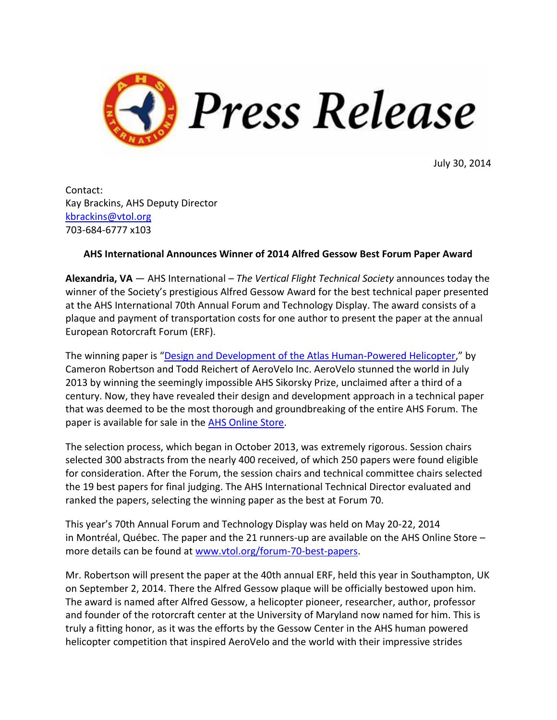

July 30, 2014

Contact: Kay Brackins, AHS Deputy Director [kbrackins@vtol.org](mailto:kbrackins@vtol.org) 703-684-6777 x103

## **AHS International Announces Winner of 2014 Alfred Gessow Best Forum Paper Award**

**Alexandria, VA** — AHS International – *The Vertical Flight Technical Society* announces today the winner of the Society's prestigious Alfred Gessow Award for the best technical paper presented at the AHS International 70th Annual Forum and Technology Display. The award consists of a plaque and payment of transportation costs for one author to present the paper at the annual European Rotorcraft Forum (ERF).

The winning paper is "[Design and Development of the Atlas Human-Powered Helicopter,](https://vtol.org/store/product/design-and-development-of-the-atlas-hph-9458.cfm)" by Cameron Robertson and Todd Reichert of AeroVelo Inc. AeroVelo stunned the world in July 2013 by winning the seemingly impossible AHS Sikorsky Prize, unclaimed after a third of a century. Now, they have revealed their design and development approach in a technical paper that was deemed to be the most thorough and groundbreaking of the entire AHS Forum. The paper is available for sale in the [AHS Online Store.](https://vtol.org/store/product/design-and-development-of-the-atlas-hph-9458.cfm)

The selection process, which began in October 2013, was extremely rigorous. Session chairs selected 300 abstracts from the nearly 400 received, of which 250 papers were found eligible for consideration. After the Forum, the session chairs and technical committee chairs selected the 19 best papers for final judging. The AHS International Technical Director evaluated and ranked the papers, selecting the winning paper as the best at Forum 70.

This year's 70th Annual Forum and Technology Display was held on May 20-22, 2014 in Montréal, Québec. The paper and the 21 runners-up are available on the AHS Online Store – more details can be found at [www.vtol.org/forum-70-best-papers.](http://vtol.org/forum-70-best-papers)

Mr. Robertson will present the paper at the 40th annual ERF, held this year in Southampton, UK on September 2, 2014. There the Alfred Gessow plaque will be officially bestowed upon him. The award is named after Alfred Gessow, a helicopter pioneer, researcher, author, professor and founder of the rotorcraft center at the University of Maryland now named for him. This is truly a fitting honor, as it was the efforts by the Gessow Center in the AHS human powered helicopter competition that inspired AeroVelo and the world with their impressive strides